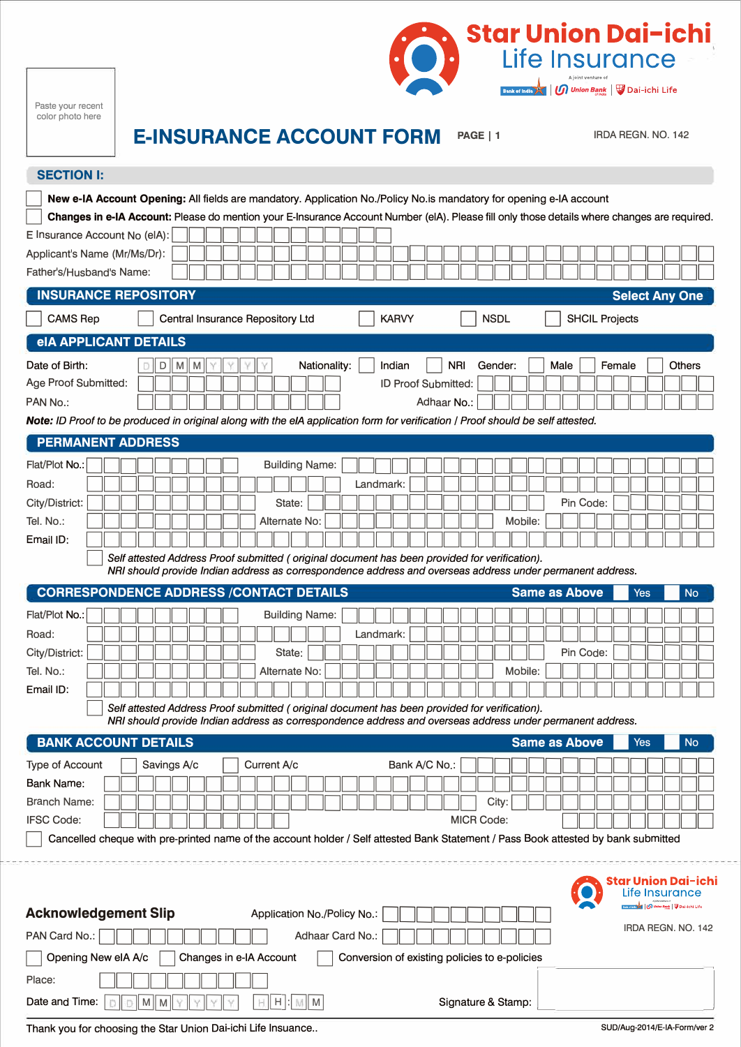

Thank you for choosing the Star Union Dai-ichi Life Insuance..